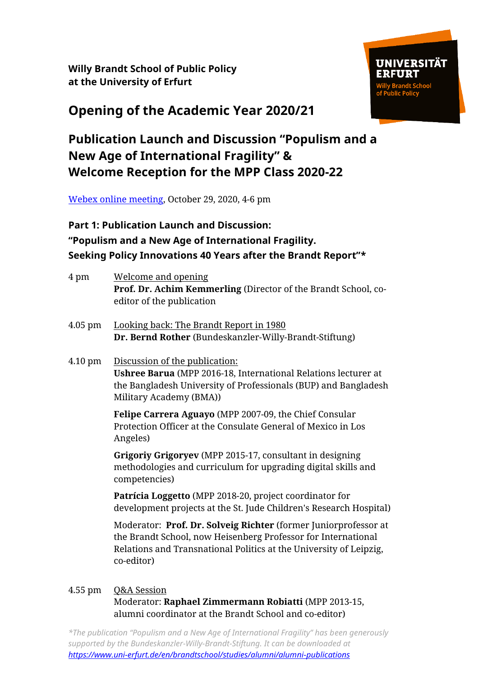**Willy Brandt School of Public Policy at the University of Erfurt**



# **Opening of the Academic Year 2020/21**

## **Publication Launch and Discussion "Populism and a New Age of International Fragility" & Welcome Reception for the MPP Class 2020-22**

[Webex online meeting,](https://uni-erfurt.webex.com/uni-erfurt/j.php?MTID=m6a4edf361ada4a2886be4801ed7c1a20) October 29, 2020, 4-6 pm

## **Part 1: Publication Launch and Discussion: "Populism and a New Age of International Fragility. Seeking Policy Innovations 40 Years after the Brandt Report"\***

| 4 pm      | <b>Welcome and opening</b><br>Prof. Dr. Achim Kemmerling (Director of the Brandt School, co-<br>editor of the publication                                                                                            |
|-----------|----------------------------------------------------------------------------------------------------------------------------------------------------------------------------------------------------------------------|
| $4.05$ pm | Looking back: The Brandt Report in 1980<br>Dr. Bernd Rother (Bundeskanzler-Willy-Brandt-Stiftung)                                                                                                                    |
| 4.10 pm   | Discussion of the publication:<br>Ushree Barua (MPP 2016-18, International Relations lecturer at<br>the Bangladesh University of Professionals (BUP) and Bangladesh<br>Military Academy (BMA))                       |
|           | Felipe Carrera Aguayo (MPP 2007-09, the Chief Consular<br>Protection Officer at the Consulate General of Mexico in Los<br>Angeles)                                                                                   |
|           | Grigoriy Grigoryev (MPP 2015-17, consultant in designing<br>methodologies and curriculum for upgrading digital skills and<br>competencies)                                                                           |
|           | Patrícia Loggetto (MPP 2018-20, project coordinator for<br>development projects at the St. Jude Children's Research Hospital)                                                                                        |
|           | Moderator: Prof. Dr. Solveig Richter (former Juniorprofessor at<br>the Brandt School, now Heisenberg Professor for International<br>Relations and Transnational Politics at the University of Leipzig,<br>co-editor) |
| 4.55 pm   | <b>Q&amp;A Session</b>                                                                                                                                                                                               |

Moderator: **Raphael Zimmermann Robiatti** (MPP 2013-15, alumni coordinator at the Brandt School and co-editor)

*\*The publication "Populism and a New Age of International Fragility" has been generously supported by the Bundeskanzler-Willy-Brandt-Stiftung. It can be downloaded at <https://www.uni-erfurt.de/en/brandtschool/studies/alumni/alumni-publications>*